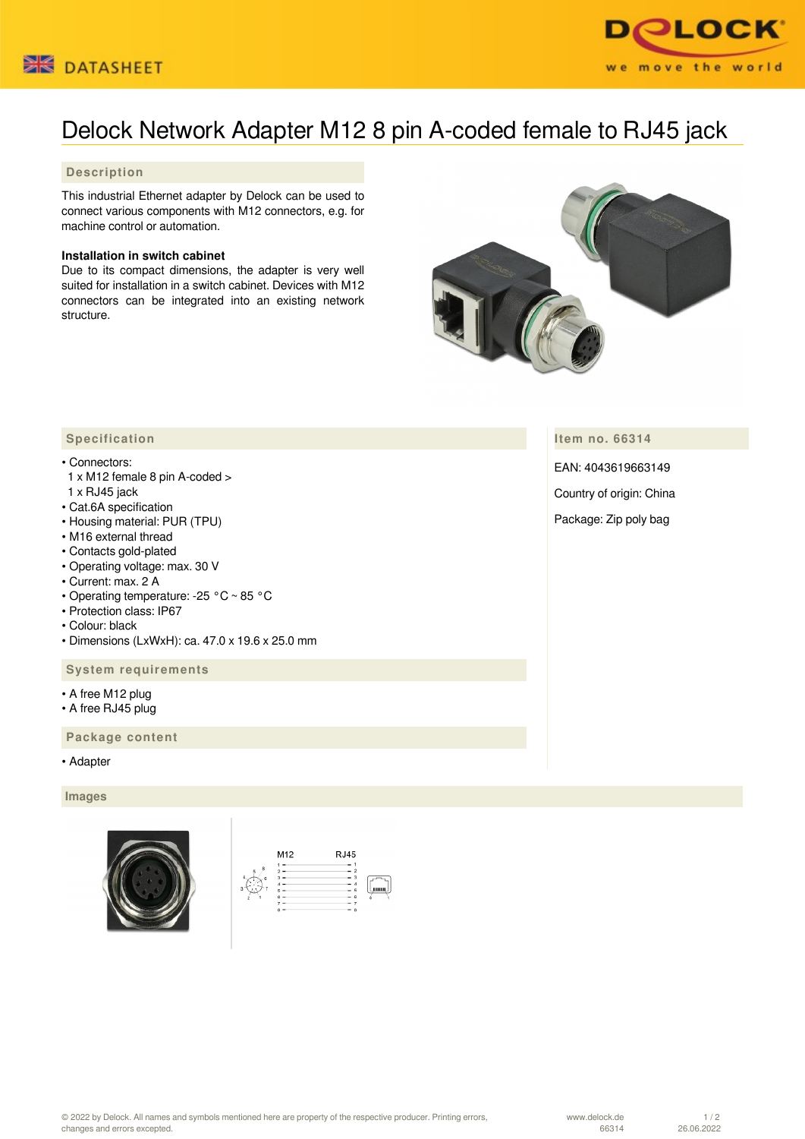



# Delock Network Adapter M12 8 pin A-coded female to RJ45 jack

## **Description**

This industrial Ethernet adapter by Delock can be used to connect various components with M12 connectors, e.g. for machine control or automation.

## **Installation in switch cabinet**

Due to its compact dimensions, the adapter is very well suited for installation in a switch cabinet. Devices with M12 connectors can be integrated into an existing network structure.



**Item no. 66314**

EAN: 4043619663149

Country of origin: China

Package: Zip poly bag

## **Specification**

### • Connectors:

- 1 x M12 female 8 pin A-coded > 1 x RJ45 jack
- Cat.6A specification
- Housing material: PUR (TPU)
- M16 external thread
- Contacts gold-plated
- Operating voltage: max. 30 V
- Current: max. 2 A
- Operating temperature: -25 °C ~ 85 °C
- Protection class: IP67
- Colour: black
- Dimensions (LxWxH): ca. 47.0 x 19.6 x 25.0 mm

### **System requirements**

- A free M12 plug
- A free RJ45 plug

 **Package content**

• Adapter

#### **Images**



| <b>RJ45</b> |
|-------------|
| ١           |
| 6<br>8      |
|             |